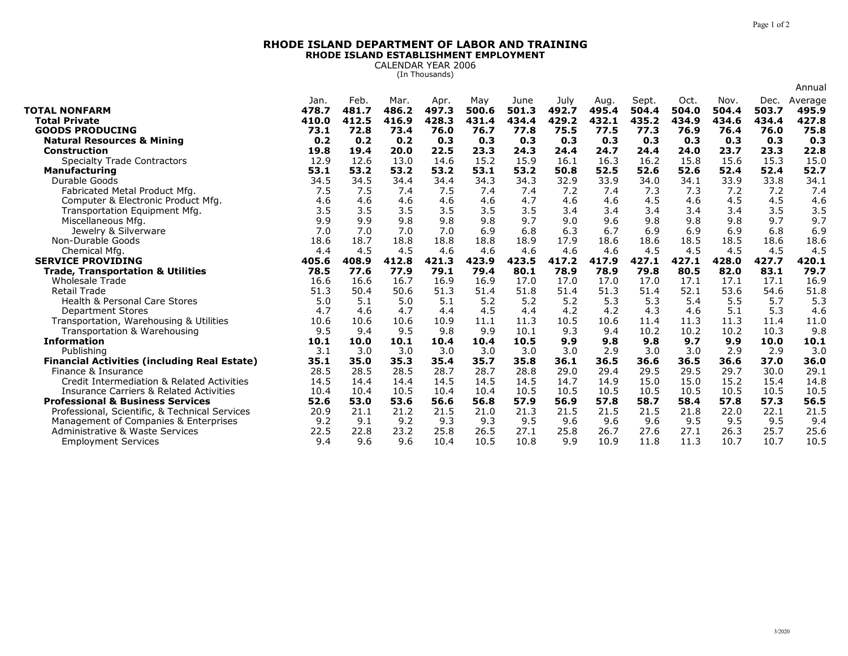## **RHODE ISLAND DEPARTMENT OF LABOR AND TRAININGRHODE ISLAND ESTABLISHMENT EMPLOYMENT**

CALENDAR YEAR 2006 (In Thousands)

|                                                                        |               |               |              |              |              |               |              |              |               |               |               |               | Annual        |
|------------------------------------------------------------------------|---------------|---------------|--------------|--------------|--------------|---------------|--------------|--------------|---------------|---------------|---------------|---------------|---------------|
|                                                                        | Jan.          | Feb.          | Mar.         | Apr.         | Mav          | June          | July         | Aug.         | Sept.         | Oct.          | Nov.          | Dec.          | Average       |
| <b>TOTAL NONFARM</b>                                                   | 478.7         | 481.7         | 486.2        | 497.3        | 500.6        | 501.3         | 492.7        | 495.4        | 504.4         | 504.0         | 504.4         | 503.7         | 495.9         |
| <b>Total Private</b>                                                   | 410.0         | 412.5         | 416.9        | 428.3        | 431.4        | 434.4         | 429.2        | 432.1        | 435.2         | 434.9         | 434.6         | 434.4         | 427.8         |
| <b>GOODS PRODUCING</b>                                                 | 73.1          | 72.8          | 73.4         | 76.0         | 76.7         | 77.8          | 75.5         | 77.5         | 77.3          | 76.9          | 76.4          | 76.0          | 75.8          |
| <b>Natural Resources &amp; Mining</b>                                  | 0.2           | 0.2           | 0.2          | 0.3          | 0.3          | 0.3           | 0.3          | 0.3          | 0.3           | 0.3           | 0.3           | 0.3           | 0.3           |
| <b>Construction</b>                                                    | 19.8          | 19.4          | 20.0         | 22.5         | 23.3<br>15.2 | 24.3<br>15.9  | 24.4         | 24.7         | 24.4<br>16.2  | 24.0          | 23.7          | 23.3          | 22.8          |
| <b>Specialty Trade Contractors</b>                                     | 12.9          | 12.6          | 13.0         | 14.6         |              |               | 16.1         | 16.3         |               | 15.8          | 15.6          | 15.3          | 15.0          |
| <b>Manufacturing</b>                                                   | 53.1          | 53.2          | 53.2         | 53.2         | 53.1         | 53.2          | 50.8         | 52.5         | 52.6          | 52.6          | 52.4          | 52.4          | 52.7          |
| Durable Goods                                                          | 34.5          | 34.5          | 34.4         | 34.4         | 34.3         | 34.3          | 32.9         | 33.9         | 34.0          | 34.1          | 33.9          | 33.8          | 34.1          |
| Fabricated Metal Product Mfg.                                          | 7.5           | 7.5           | 7.4          | 7.5          | 7.4          | 7.4           | 7.2          | 7.4          | 7.3           | 7.3           | 7.2           | 7.2           | 7.4           |
| Computer & Electronic Product Mfg.                                     | 4.6           | 4.6           | 4.6          | 4.6          | 4.6          | 4.7           | 4.6          | 4.6          | 4.5           | 4.6           | 4.5           | 4.5           | 4.6           |
| Transportation Equipment Mfg.                                          | 3.5           | 3.5           | 3.5          | 3.5          | 3.5          | 3.5           | 3.4          | 3.4          | 3.4           | 3.4           | 3.4           | 3.5           | 3.5           |
| Miscellaneous Mfg.                                                     | 9.9           | 9.9           | 9.8          | 9.8          | 9.8          | 9.7           | 9.0          | 9.6          | 9.8           | 9.8           | 9.8           | 9.7           | 9.7           |
| Jewelry & Silverware                                                   | 7.0           | 7.0           | 7.0          | 7.0          | 6.9          | 6.8           | 6.3          | 6.7          | 6.9           | 6.9           | 6.9           | 6.8           | 6.9           |
| Non-Durable Goods                                                      | 18.6          | 18.7          | 18.8         | 18.8         | 18.8         | 18.9          | 17.9         | 18.6         | 18.6          | 18.5          | 18.5          | 18.6          | 18.6          |
| Chemical Mfg                                                           | 4.4           | 4.5           | 4.5<br>412.8 | 4.6<br>421.3 | 4.6<br>423.9 | 4.6           | 4.6<br>417.2 | 4.6<br>417.9 | 4.5           | 4.5           | 4.5           | 4.5           | 4.5           |
| <b>SERVICE PROVIDING</b>                                               | 405.6<br>78.5 | 408.9<br>77.6 | 77.9         | 79.1         | 79.4         | 423.5<br>80.1 | 78.9         | 78.9         | 427.1<br>79.8 | 427.1<br>80.5 | 428.0<br>82.0 | 427.7<br>83.1 | 420.1<br>79.7 |
| <b>Trade, Transportation &amp; Utilities</b><br><b>Wholesale Trade</b> | 16.6          | 16.6          | 16.7         | 16.9         | 16.9         | 17.0          | 17.0         | 17.0         | 17.0          | 17.1          | 17.1          | 17.1          | 16.9          |
| <b>Retail Trade</b>                                                    | 51.3          | 50.4          | 50.6         | 51.3         | 51.4         | 51.8          | 51.4         | 51.3         | 51.4          | 52.1          | 53.6          | 54.6          | 51.8          |
| <b>Health &amp; Personal Care Stores</b>                               | 5.0           | 5.1           | 5.0          | 5.1          | 5.2          | 5.2           | 5.2          | 5.3          | 5.3           | 5.4           | 5.5           | 5.7           | 5.3           |
| <b>Department Stores</b>                                               | 4.7           | 4.6           | 4.7          | 4.4          | 4.5          | 4.4           | 4.2          | 4.2          | 4.3           | 4.6           | 5.1           | 5.3           | 4.6           |
| Transportation, Warehousing & Utilities                                | 10.6          | 10.6          | 10.6         | 10.9         | 11.1         | 11.3          | 10.5         | 10.6         | 11.4          | 11.3          | 11.3          | 11.4          | 11.0          |
| Transportation & Warehousing                                           | 9.5           | 9.4           | 9.5          | 9.8          | 9.9          | 10.1          | 9.3          | 9.4          | 10.2          | 10.2          | 10.2          | 10.3          | 9.8           |
| <b>Information</b>                                                     | 10.1          | 10.0          | 10.1         | 10.4         | 10.4         | 10.5          | 9.9          | 9.8          | 9.8           | 9.7           | 9.9           | 10.0          | 10.1          |
| Publishing                                                             | 3.1           | 3.0           | 3.0          | 3.0          | 3.0          | 3.0           | 3.0          | 2.9          | 3.0           | 3.0           | 2.9           | 2.9           | 3.0           |
| <b>Financial Activities (including Real Estate)</b>                    | 35.1          | 35.0          | 35.3         | 35.4         | 35.7         | 35.8          | 36.1         | 36.5         | 36.6          | 36.5          | 36.6          | 37.0          | 36.0          |
| Finance & Insurance                                                    | 28.5          | 28.5          | 28.5         | 28.7         | 28.7         | 28.8          | 29.0         | 29.4         | 29.5          | 29.5          | 29.7          | 30.0          | 29.1          |
| Credit Intermediation & Related Activities                             | 14.5          | 14.4          | 14.4         | 14.5         | 14.5         | 14.5          | 14.7         | 14.9         | 15.0          | 15.0          | 15.2          | 15.4          | 14.8          |
| <b>Insurance Carriers &amp; Related Activities</b>                     | 10.4          | 10.4          | 10.5         | 10.4         | 10.4         | 10.5          | 10.5         | 10.5         | 10.5          | 10.5          | 10.5          | 10.5          | 10.5          |
| <b>Professional &amp; Business Services</b>                            | 52.6          | 53.0          | 53.6         | 56.6         | 56.8         | 57.9          | 56.9         | 57.8         | 58.7          | 58.4          | 57.8          | 57.3          | 56.5          |
| Professional, Scientific, & Technical Services                         | 20.9          | 21.1          | 21.2         | 21.5         | 21.0         | 21.3          | 21.5         | 21.5         | 21.5          | 21.8          | 22.0          | 22.1          | 21.5          |
| Management of Companies & Enterprises                                  | 9.2           | 9.1           | 9.2          | 9.3          | 9.3          | 9.5           | 9.6          | 9.6          | 9.6           | 9.5           | 9.5           | 9.5           | 9.4           |
| Administrative & Waste Services                                        |               |               |              |              |              |               |              |              |               |               |               |               |               |
|                                                                        |               |               |              |              |              |               |              |              |               |               |               |               |               |
| <b>Employment Services</b>                                             | 22.5<br>9.4   | 22.8<br>9.6   | 23.2<br>9.6  | 25.8<br>10.4 | 26.5<br>10.5 | 27.1<br>10.8  | 25.8<br>9.9  | 26.7<br>10.9 | 27.6<br>11.8  | 27.1<br>11.3  | 26.3<br>10.7  | 25.7<br>10.7  | 25.6<br>10.5  |